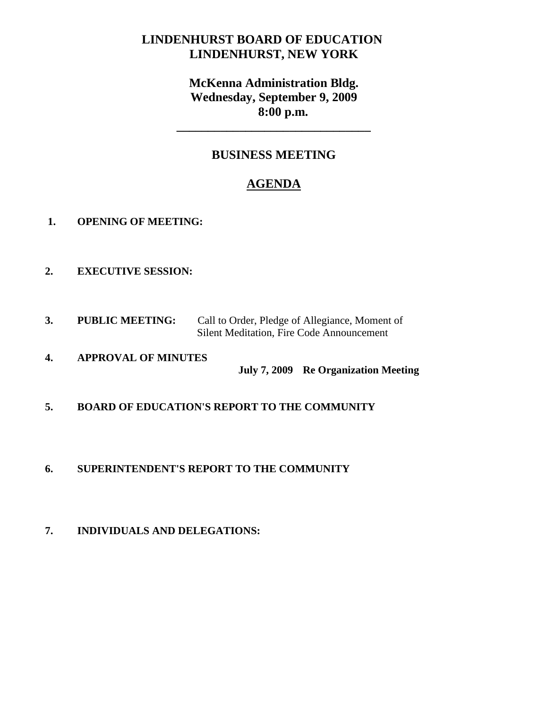# **LINDENHURST BOARD OF EDUCATION LINDENHURST, NEW YORK**

# **McKenna Administration Bldg. Wednesday, September 9, 2009 8:00 p.m.**

**\_\_\_\_\_\_\_\_\_\_\_\_\_\_\_\_\_\_\_\_\_\_\_\_\_\_\_\_\_\_\_**

# **BUSINESS MEETING**

# **AGENDA**

- **1. OPENING OF MEETING:**
- **2. EXECUTIVE SESSION:**
- **3. PUBLIC MEETING:** Call to Order, Pledge of Allegiance, Moment of Silent Meditation, Fire Code Announcement
- **4. APPROVAL OF MINUTES July 7, 2009 Re Organization Meeting**
- **5. BOARD OF EDUCATION'S REPORT TO THE COMMUNITY**
- **6. SUPERINTENDENT'S REPORT TO THE COMMUNITY**
- **7. INDIVIDUALS AND DELEGATIONS:**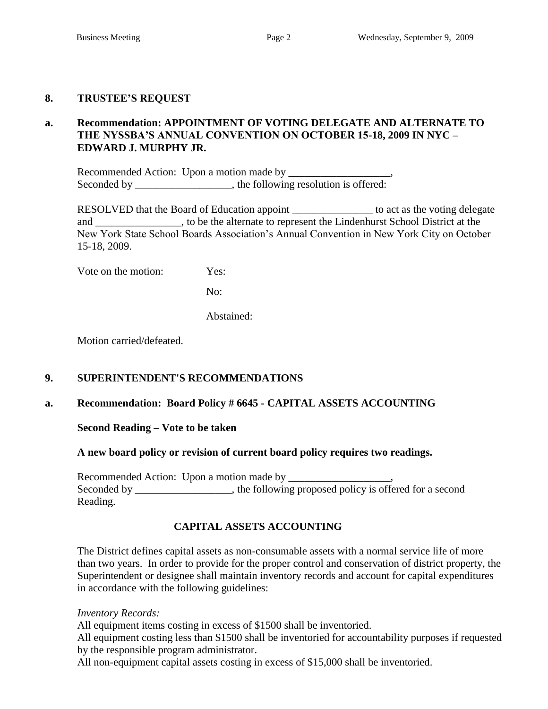### **8. TRUSTEE'S REQUEST**

# **a. Recommendation: APPOINTMENT OF VOTING DELEGATE AND ALTERNATE TO THE NYSSBA'S ANNUAL CONVENTION ON OCTOBER 15-18, 2009 IN NYC – EDWARD J. MURPHY JR.**

Recommended Action: Upon a motion made by \_\_\_\_\_\_\_\_\_\_\_\_\_\_\_\_\_\_\_, Seconded by \_\_\_\_\_\_\_\_\_\_\_\_\_\_\_\_, the following resolution is offered:

RESOLVED that the Board of Education appoint \_\_\_\_\_\_\_\_\_\_\_\_\_\_\_ to act as the voting delegate and \_\_\_\_\_\_\_\_\_\_\_\_\_, to be the alternate to represent the Lindenhurst School District at the New York State School Boards Association's Annual Convention in New York City on October 15-18, 2009.

Vote on the motion: Yes:

No:

Abstained:

Motion carried/defeated.

#### **9. SUPERINTENDENT'S RECOMMENDATIONS**

#### **a. Recommendation: Board Policy # 6645 - CAPITAL ASSETS ACCOUNTING**

**Second Reading – Vote to be taken**

#### **A new board policy or revision of current board policy requires two readings.**

Recommended Action: Upon a motion made by \_\_\_\_\_\_\_\_\_\_\_\_\_\_\_\_\_\_\_, Seconded by \_\_\_\_\_\_\_\_\_\_\_\_\_, the following proposed policy is offered for a second Reading.

## **CAPITAL ASSETS ACCOUNTING**

The District defines capital assets as non-consumable assets with a normal service life of more than two years. In order to provide for the proper control and conservation of district property, the Superintendent or designee shall maintain inventory records and account for capital expenditures in accordance with the following guidelines:

*Inventory Records:*

All equipment items costing in excess of \$1500 shall be inventoried.

All equipment costing less than \$1500 shall be inventoried for accountability purposes if requested by the responsible program administrator.

All non-equipment capital assets costing in excess of \$15,000 shall be inventoried.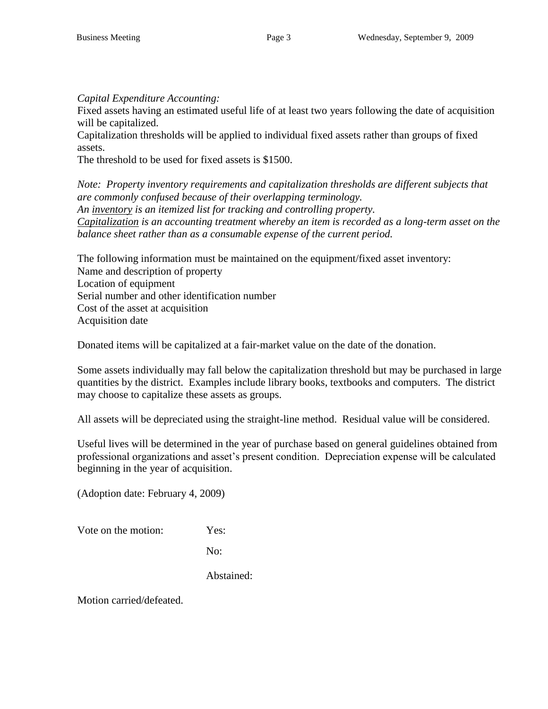*Capital Expenditure Accounting:*

Fixed assets having an estimated useful life of at least two years following the date of acquisition will be capitalized.

Capitalization thresholds will be applied to individual fixed assets rather than groups of fixed assets.

The threshold to be used for fixed assets is \$1500.

*Note: Property inventory requirements and capitalization thresholds are different subjects that are commonly confused because of their overlapping terminology. An inventory is an itemized list for tracking and controlling property. Capitalization is an accounting treatment whereby an item is recorded as a long-term asset on the balance sheet rather than as a consumable expense of the current period.*

The following information must be maintained on the equipment/fixed asset inventory: Name and description of property Location of equipment Serial number and other identification number Cost of the asset at acquisition Acquisition date

Donated items will be capitalized at a fair-market value on the date of the donation.

Some assets individually may fall below the capitalization threshold but may be purchased in large quantities by the district. Examples include library books, textbooks and computers. The district may choose to capitalize these assets as groups.

All assets will be depreciated using the straight-line method. Residual value will be considered.

Useful lives will be determined in the year of purchase based on general guidelines obtained from professional organizations and asset's present condition. Depreciation expense will be calculated beginning in the year of acquisition.

(Adoption date: February 4, 2009)

Vote on the motion: Yes:

No:

Abstained: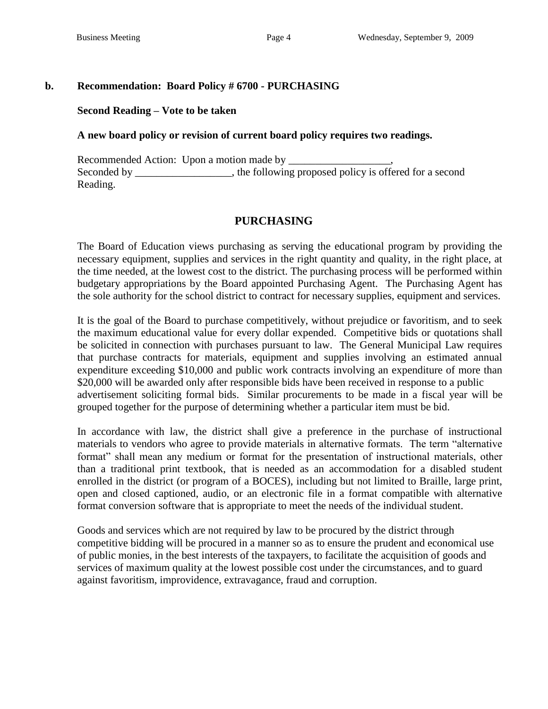### **b. Recommendation: Board Policy # 6700 - PURCHASING**

#### **Second Reading – Vote to be taken**

#### **A new board policy or revision of current board policy requires two readings.**

Recommended Action: Upon a motion made by Seconded by \_\_\_\_\_\_\_\_\_\_\_\_\_, the following proposed policy is offered for a second Reading.

## **PURCHASING**

The Board of Education views purchasing as serving the educational program by providing the necessary equipment, supplies and services in the right quantity and quality, in the right place, at the time needed, at the lowest cost to the district. The purchasing process will be performed within budgetary appropriations by the Board appointed Purchasing Agent. The Purchasing Agent has the sole authority for the school district to contract for necessary supplies, equipment and services.

It is the goal of the Board to purchase competitively, without prejudice or favoritism, and to seek the maximum educational value for every dollar expended. Competitive bids or quotations shall be solicited in connection with purchases pursuant to law. The General Municipal Law requires that purchase contracts for materials, equipment and supplies involving an estimated annual expenditure exceeding \$10,000 and public work contracts involving an expenditure of more than \$20,000 will be awarded only after responsible bids have been received in response to a public advertisement soliciting formal bids. Similar procurements to be made in a fiscal year will be grouped together for the purpose of determining whether a particular item must be bid.

In accordance with law, the district shall give a preference in the purchase of instructional materials to vendors who agree to provide materials in alternative formats. The term "alternative format" shall mean any medium or format for the presentation of instructional materials, other than a traditional print textbook, that is needed as an accommodation for a disabled student enrolled in the district (or program of a BOCES), including but not limited to Braille, large print, open and closed captioned, audio, or an electronic file in a format compatible with alternative format conversion software that is appropriate to meet the needs of the individual student.

Goods and services which are not required by law to be procured by the district through competitive bidding will be procured in a manner so as to ensure the prudent and economical use of public monies, in the best interests of the taxpayers, to facilitate the acquisition of goods and services of maximum quality at the lowest possible cost under the circumstances, and to guard against favoritism, improvidence, extravagance, fraud and corruption.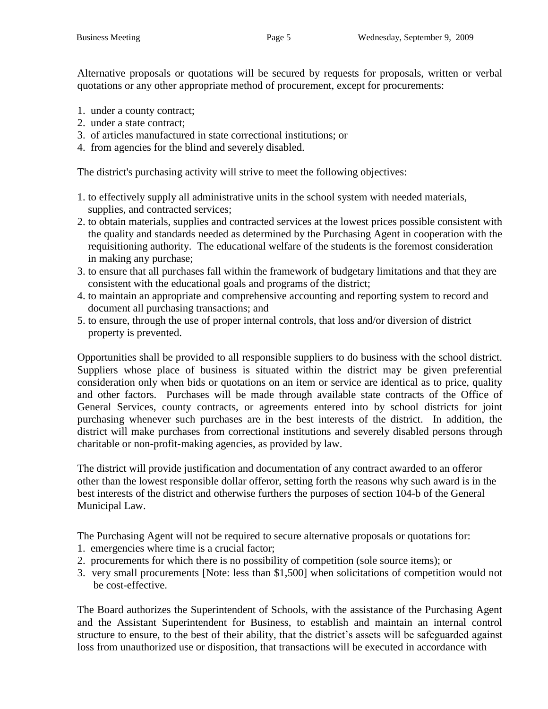Alternative proposals or quotations will be secured by requests for proposals, written or verbal quotations or any other appropriate method of procurement, except for procurements:

- 1. under a county contract;
- 2. under a state contract;
- 3. of articles manufactured in state correctional institutions; or
- 4. from agencies for the blind and severely disabled.

The district's purchasing activity will strive to meet the following objectives:

- 1. to effectively supply all administrative units in the school system with needed materials, supplies, and contracted services;
- 2. to obtain materials, supplies and contracted services at the lowest prices possible consistent with the quality and standards needed as determined by the Purchasing Agent in cooperation with the requisitioning authority. The educational welfare of the students is the foremost consideration in making any purchase;
- 3. to ensure that all purchases fall within the framework of budgetary limitations and that they are consistent with the educational goals and programs of the district;
- 4. to maintain an appropriate and comprehensive accounting and reporting system to record and document all purchasing transactions; and
- 5. to ensure, through the use of proper internal controls, that loss and/or diversion of district property is prevented.

Opportunities shall be provided to all responsible suppliers to do business with the school district. Suppliers whose place of business is situated within the district may be given preferential consideration only when bids or quotations on an item or service are identical as to price, quality and other factors. Purchases will be made through available state contracts of the Office of General Services, county contracts, or agreements entered into by school districts for joint purchasing whenever such purchases are in the best interests of the district. In addition, the district will make purchases from correctional institutions and severely disabled persons through charitable or non-profit-making agencies, as provided by law.

The district will provide justification and documentation of any contract awarded to an offeror other than the lowest responsible dollar offeror, setting forth the reasons why such award is in the best interests of the district and otherwise furthers the purposes of section 104-b of the General Municipal Law.

The Purchasing Agent will not be required to secure alternative proposals or quotations for:

- 1. emergencies where time is a crucial factor;
- 2. procurements for which there is no possibility of competition (sole source items); or
- 3. very small procurements [Note: less than \$1,500] when solicitations of competition would not be cost-effective.

The Board authorizes the Superintendent of Schools, with the assistance of the Purchasing Agent and the Assistant Superintendent for Business, to establish and maintain an internal control structure to ensure, to the best of their ability, that the district's assets will be safeguarded against loss from unauthorized use or disposition, that transactions will be executed in accordance with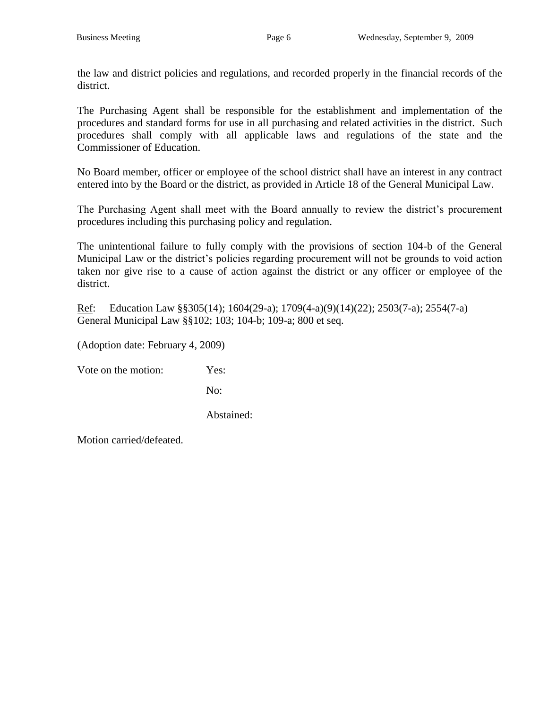the law and district policies and regulations, and recorded properly in the financial records of the district.

The Purchasing Agent shall be responsible for the establishment and implementation of the procedures and standard forms for use in all purchasing and related activities in the district. Such procedures shall comply with all applicable laws and regulations of the state and the Commissioner of Education.

No Board member, officer or employee of the school district shall have an interest in any contract entered into by the Board or the district, as provided in Article 18 of the General Municipal Law.

The Purchasing Agent shall meet with the Board annually to review the district's procurement procedures including this purchasing policy and regulation.

The unintentional failure to fully comply with the provisions of section 104-b of the General Municipal Law or the district's policies regarding procurement will not be grounds to void action taken nor give rise to a cause of action against the district or any officer or employee of the district.

Ref: Education Law §§305(14); 1604(29-a); 1709(4-a)(9)(14)(22); 2503(7-a); 2554(7-a) General Municipal Law §§102; 103; 104-b; 109-a; 800 et seq.

(Adoption date: February 4, 2009)

Vote on the motion: Yes:

No:

Abstained: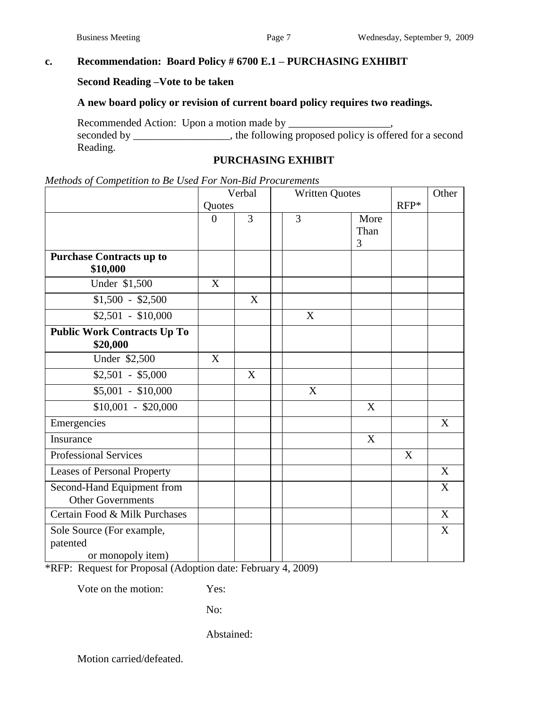# **c. Recommendation: Board Policy # 6700 E.1 – PURCHASING EXHIBIT**

#### **Second Reading –Vote to be taken**

# **A new board policy or revision of current board policy requires two readings.**

Recommended Action: Upon a motion made by \_\_\_\_\_\_\_\_\_\_\_\_\_\_\_\_\_\_\_, seconded by \_\_\_\_\_\_\_\_\_\_\_\_, the following proposed policy is offered for a second Reading.

#### **PURCHASING EXHIBIT**

|  | Methods of Competition to Be Used For Non-Bid Procurements |
|--|------------------------------------------------------------|
|--|------------------------------------------------------------|

|                                                            | Verbal   |                | <b>Written Quotes</b> |                   |        | Other |
|------------------------------------------------------------|----------|----------------|-----------------------|-------------------|--------|-------|
|                                                            | Quotes   |                |                       |                   | $RFP*$ |       |
|                                                            | $\theta$ | $\overline{3}$ | 3                     | More<br>Than<br>3 |        |       |
| <b>Purchase Contracts up to</b><br>\$10,000                |          |                |                       |                   |        |       |
| Under \$1,500                                              | X        |                |                       |                   |        |       |
| $$1,500 - $2,500$                                          |          | X              |                       |                   |        |       |
| $$2,501 - $10,000$                                         |          |                | X                     |                   |        |       |
| <b>Public Work Contracts Up To</b><br>\$20,000             |          |                |                       |                   |        |       |
| Under \$2,500                                              | X        |                |                       |                   |        |       |
| $$2,501 - $5,000$                                          |          | X              |                       |                   |        |       |
| $$5,001 - $10,000$                                         |          |                | X                     |                   |        |       |
| $$10,001 - $20,000$                                        |          |                |                       | X                 |        |       |
| Emergencies                                                |          |                |                       |                   |        | X     |
| Insurance                                                  |          |                |                       | X                 |        |       |
| <b>Professional Services</b>                               |          |                |                       |                   | X      |       |
| Leases of Personal Property                                |          |                |                       |                   |        | X     |
| Second-Hand Equipment from<br><b>Other Governments</b>     |          |                |                       |                   |        | X     |
| Certain Food & Milk Purchases                              |          |                |                       |                   |        | X     |
| Sole Source (For example,<br>patented<br>or monopoly item) |          |                |                       |                   |        | X     |

\*RFP: Request for Proposal (Adoption date: February 4, 2009)

Vote on the motion: Yes:

No:

Abstained: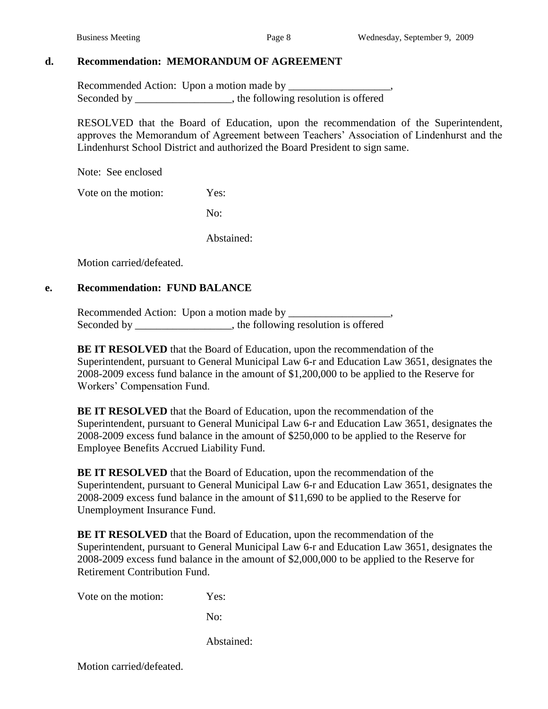### **d. Recommendation: MEMORANDUM OF AGREEMENT**

Recommended Action: Upon a motion made by \_\_\_\_\_\_\_\_\_\_\_\_\_\_\_\_\_\_\_, Seconded by \_\_\_\_\_\_\_\_\_\_\_\_\_\_\_\_\_, the following resolution is offered

RESOLVED that the Board of Education, upon the recommendation of the Superintendent, approves the Memorandum of Agreement between Teachers' Association of Lindenhurst and the Lindenhurst School District and authorized the Board President to sign same.

Note: See enclosed

Vote on the motion: Yes:

No:

Abstained:

Motion carried/defeated.

### **e. Recommendation: FUND BALANCE**

Recommended Action: Upon a motion made by \_\_\_\_\_\_\_\_\_\_\_\_\_\_\_\_\_\_\_, Seconded by \_\_\_\_\_\_\_\_\_\_\_\_\_\_\_\_\_, the following resolution is offered

**BE IT RESOLVED** that the Board of Education, upon the recommendation of the Superintendent, pursuant to General Municipal Law 6-r and Education Law 3651, designates the 2008-2009 excess fund balance in the amount of \$1,200,000 to be applied to the Reserve for Workers' Compensation Fund.

**BE IT RESOLVED** that the Board of Education, upon the recommendation of the Superintendent, pursuant to General Municipal Law 6-r and Education Law 3651, designates the 2008-2009 excess fund balance in the amount of \$250,000 to be applied to the Reserve for Employee Benefits Accrued Liability Fund.

**BE IT RESOLVED** that the Board of Education, upon the recommendation of the Superintendent, pursuant to General Municipal Law 6-r and Education Law 3651, designates the 2008-2009 excess fund balance in the amount of \$11,690 to be applied to the Reserve for Unemployment Insurance Fund.

**BE IT RESOLVED** that the Board of Education, upon the recommendation of the Superintendent, pursuant to General Municipal Law 6-r and Education Law 3651, designates the 2008-2009 excess fund balance in the amount of \$2,000,000 to be applied to the Reserve for Retirement Contribution Fund.

Vote on the motion: Yes:

No:

Abstained: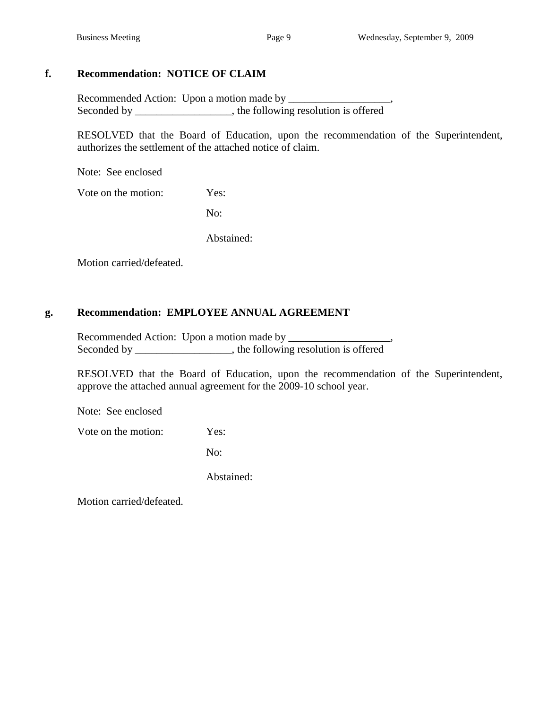# **f. Recommendation: NOTICE OF CLAIM**

Recommended Action: Upon a motion made by \_\_\_\_\_\_\_\_\_\_\_\_\_\_\_\_\_\_\_, Seconded by \_\_\_\_\_\_\_\_\_\_\_\_\_\_\_\_, the following resolution is offered

RESOLVED that the Board of Education, upon the recommendation of the Superintendent, authorizes the settlement of the attached notice of claim.

Note: See enclosed

Vote on the motion: Yes:

No:

Abstained:

Motion carried/defeated.

# **g. Recommendation: EMPLOYEE ANNUAL AGREEMENT**

Recommended Action: Upon a motion made by \_\_\_\_\_\_\_\_\_\_\_\_\_\_\_\_\_\_\_, Seconded by \_\_\_\_\_\_\_\_\_\_\_\_\_\_\_\_, the following resolution is offered

RESOLVED that the Board of Education, upon the recommendation of the Superintendent, approve the attached annual agreement for the 2009-10 school year.

Note: See enclosed

Vote on the motion: Yes:

No:

Abstained: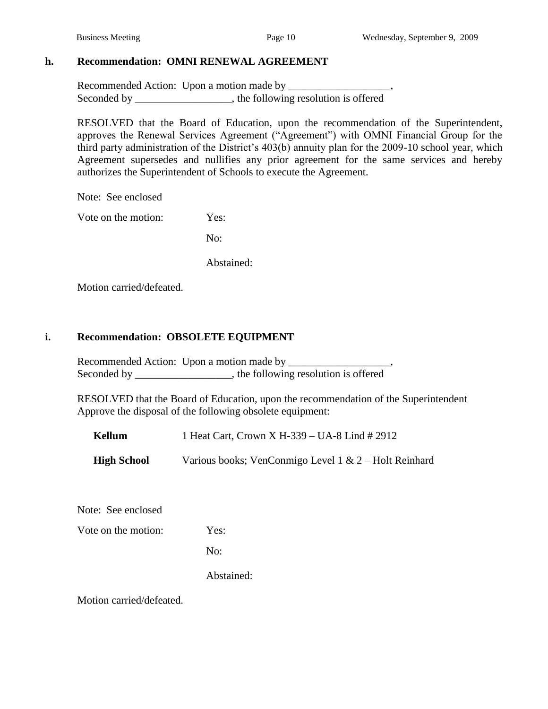#### **h. Recommendation: OMNI RENEWAL AGREEMENT**

Recommended Action: Upon a motion made by \_\_\_\_\_\_\_\_\_\_\_\_\_\_\_\_\_\_\_, Seconded by \_\_\_\_\_\_\_\_\_\_\_\_\_\_\_\_, the following resolution is offered

RESOLVED that the Board of Education, upon the recommendation of the Superintendent, approves the Renewal Services Agreement ("Agreement") with OMNI Financial Group for the third party administration of the District's 403(b) annuity plan for the 2009-10 school year, which Agreement supersedes and nullifies any prior agreement for the same services and hereby authorizes the Superintendent of Schools to execute the Agreement.

Note: See enclosed

Vote on the motion: Yes:

No:

Abstained:

Motion carried/defeated.

### **i. Recommendation: OBSOLETE EQUIPMENT**

Recommended Action: Upon a motion made by \_\_\_\_\_\_\_\_\_\_\_\_\_\_\_\_\_\_\_, Seconded by \_\_\_\_\_\_\_\_\_\_\_\_\_\_\_, the following resolution is offered

RESOLVED that the Board of Education, upon the recommendation of the Superintendent Approve the disposal of the following obsolete equipment:

**Kellum** 1 Heat Cart, Crown X H-339 – UA-8 Lind # 2912

**High School** Various books; VenConmigo Level 1 & 2 – Holt Reinhard

Note: See enclosed

Vote on the motion: Yes:

No:

Abstained: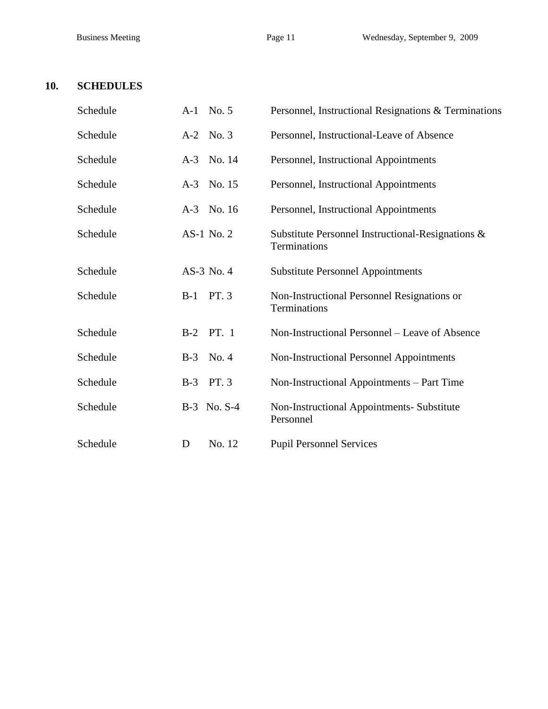# **10. SCHEDULES**

| Schedule | A-1 No. 5        | Personnel, Instructional Resignations & Terminations              |
|----------|------------------|-------------------------------------------------------------------|
| Schedule | A-2 No. 3        | Personnel, Instructional-Leave of Absence                         |
| Schedule | A-3 No. 14       | Personnel, Instructional Appointments                             |
| Schedule | A-3 No. 15       | Personnel, Instructional Appointments                             |
| Schedule | A-3 No. 16       | Personnel, Instructional Appointments                             |
| Schedule | AS-1 No. 2       | Substitute Personnel Instructional-Resignations &<br>Terminations |
| Schedule | AS-3 No. 4       | <b>Substitute Personnel Appointments</b>                          |
| Schedule | PT. 3<br>$B-1$   | Non-Instructional Personnel Resignations or<br>Terminations       |
| Schedule | <b>B-2</b> PT. 1 | Non-Instructional Personnel – Leave of Absence                    |
| Schedule | No. 4<br>$B-3$   | <b>Non-Instructional Personnel Appointments</b>                   |
| Schedule | PT. 3<br>$B-3$   | Non-Instructional Appointments - Part Time                        |
| Schedule | B-3 No. S-4      | Non-Instructional Appointments- Substitute<br>Personnel           |
| Schedule | No. 12<br>D      | <b>Pupil Personnel Services</b>                                   |